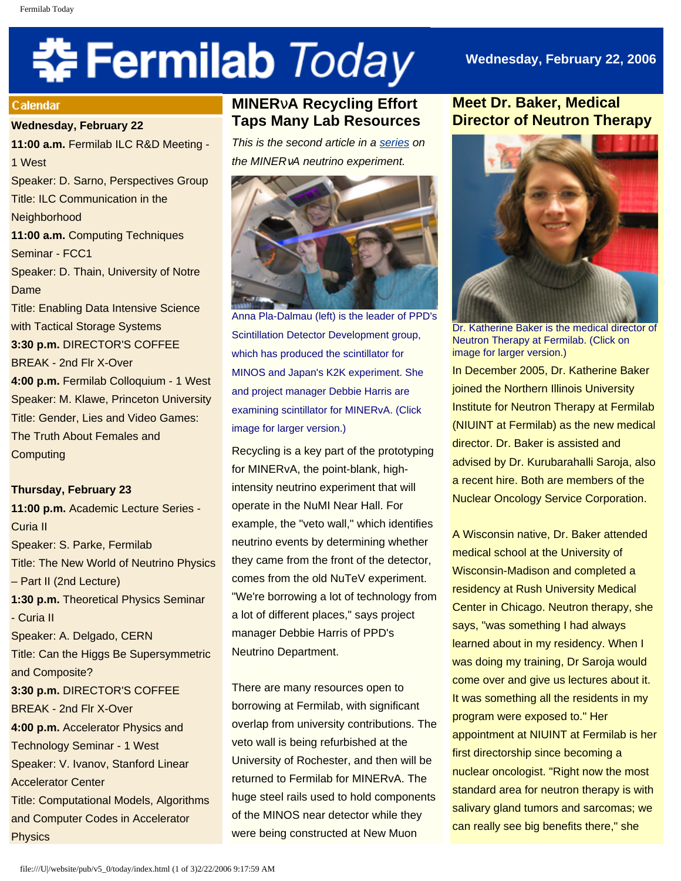# **\* Fermilab** *Today*

# **Wednesday, February 22, 2006**

#### **Calendar**

#### **Wednesday, February 22**

**11:00 a.m.** Fermilab ILC R&D Meeting - 1 West Speaker: D. Sarno, Perspectives Group Title: ILC Communication in the **Neighborhood 11:00 a.m.** Computing Techniques Seminar - FCC1 Speaker: D. Thain, University of Notre Dame Title: Enabling Data Intensive Science with Tactical Storage Systems **3:30 p.m.** DIRECTOR'S COFFEE BREAK - 2nd Flr X-Over **4:00 p.m.** Fermilab Colloquium - 1 West Speaker: M. Klawe, Princeton University Title: Gender, Lies and Video Games: The Truth About Females and **Computing** 

#### **Thursday, February 23**

**11:00 p.m.** Academic Lecture Series - Curia II Speaker: S. Parke, Fermilab Title: The New World of Neutrino Physics – Part II (2nd Lecture) **1:30 p.m.** Theoretical Physics Seminar - Curia II Speaker: A. Delgado, CERN Title: Can the Higgs Be Supersymmetric and Composite? **3:30 p.m.** DIRECTOR'S COFFEE BREAK - 2nd Flr X-Over **4:00 p.m.** Accelerator Physics and Technology Seminar - 1 West Speaker: V. Ivanov, Stanford Linear Accelerator Center Title: Computational Models, Algorithms and Computer Codes in Accelerator **Physics** 

# **MINER**ν**A Recycling Effort Taps Many Lab Resources**

*This is the second article in a [series](http://www.fnal.gov/pub/today/archive_2006/today06-02-15.html) on the MINER*ν*A neutrino experiment.*



Anna Pla-Dalmau (left) is the leader of PPD's Scintillation Detector Development group, which has produced the scintillator for MINOS and Japan's K2K experiment. She and project manager Debbie Harris are examining scintillator for MINERvA. (Click image for larger version.)

Recycling is a key part of the prototyping for MINERvA, the point-blank, highintensity neutrino experiment that will operate in the NuMI Near Hall. For example, the "veto wall," which identifies neutrino events by determining whether they came from the front of the detector, comes from the old NuTeV experiment. "We're borrowing a lot of technology from a lot of different places," says project manager Debbie Harris of PPD's Neutrino Department.

There are many resources open to borrowing at Fermilab, with significant overlap from university contributions. The veto wall is being refurbished at the University of Rochester, and then will be returned to Fermilab for MINERvA. The huge steel rails used to hold components of the MINOS near detector while they were being constructed at New Muon

# **Meet Dr. Baker, Medical Director of Neutron Therapy**



Dr. Katherine Baker is the medical director of Neutron Therapy at Fermilab. (Click on image for larger version.)

In December 2005, Dr. Katherine Baker joined the Northern Illinois University Institute for Neutron Therapy at Fermilab (NIUINT at Fermilab) as the new medical director. Dr. Baker is assisted and advised by Dr. Kurubarahalli Saroja, also a recent hire. Both are members of the Nuclear Oncology Service Corporation.

A Wisconsin native, Dr. Baker attended medical school at the University of Wisconsin-Madison and completed a residency at Rush University Medical Center in Chicago. Neutron therapy, she says, "was something I had always learned about in my residency. When I was doing my training, Dr Saroja would come over and give us lectures about it. It was something all the residents in my program were exposed to." Her appointment at NIUINT at Fermilab is her first directorship since becoming a nuclear oncologist. "Right now the most standard area for neutron therapy is with salivary gland tumors and sarcomas; we can really see big benefits there," she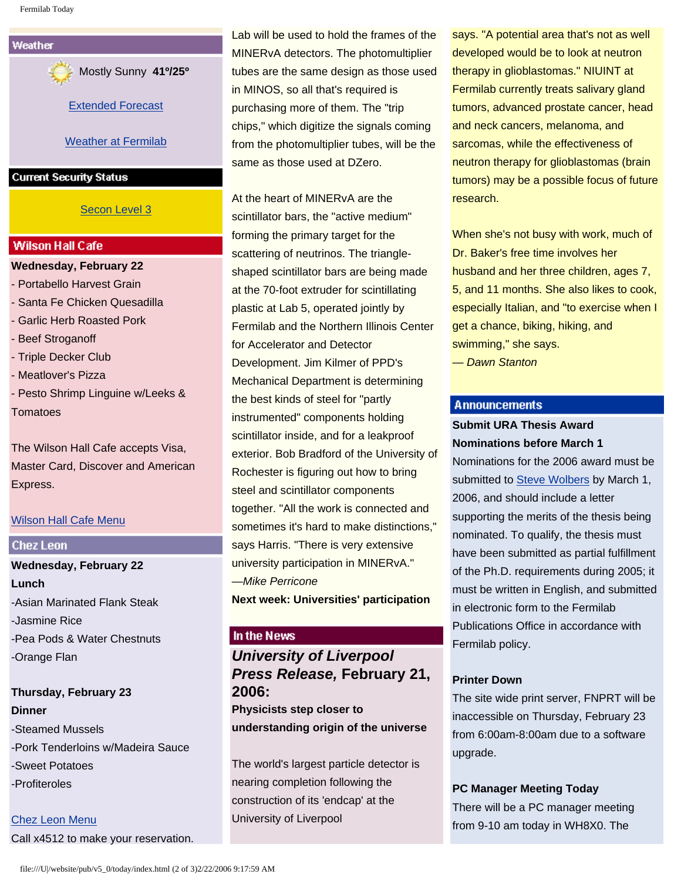

Mostly Sunny **41º/25º**

[Extended Forecast](http://www.srh.noaa.gov/data/forecasts/ILZ012.php?warncounty=ILC089&city=Batavia)

[Weather at Fermilab](http://www-esh.fnal.gov/pls/default/weather.html) 

#### **Current Security Status**

## [Secon Level 3](http://www.fnal.gov/pub/about/public_affairs/currentstatus.html)

#### **Wilson Hall Cafe**

**Wednesday, February 22** - Portabello Harvest Grain - Santa Fe Chicken Quesadilla - Garlic Herb Roasted Pork - Beef Stroganoff - Triple Decker Club - Meatlover's Pizza - Pesto Shrimp Linguine w/Leeks & **Tomatoes** 

The Wilson Hall Cafe accepts Visa, Master Card, Discover and American Express.

## [Wilson Hall Cafe Menu](http://lss.fnal.gov/cafe/)

## **Chez Leon**

**Wednesday, February 22 Lunch** -Asian Marinated Flank Steak -Jasmine Rice -Pea Pods & Water Chestnuts -Orange Flan

# **Thursday, February 23 Dinner** -Steamed Mussels -Pork Tenderloins w/Madeira Sauce -Sweet Potatoes -Profiteroles

[Chez Leon Menu](http://lss.fnal.gov/chezleon/index.html) Call x4512 to make your reservation. Lab will be used to hold the frames of the MINERvA detectors. The photomultiplier tubes are the same design as those used in MINOS, so all that's required is purchasing more of them. The "trip chips," which digitize the signals coming from the photomultiplier tubes, will be the same as those used at DZero.

At the heart of MINERvA are the scintillator bars, the "active medium" forming the primary target for the scattering of neutrinos. The triangleshaped scintillator bars are being made at the 70-foot extruder for scintillating plastic at Lab 5, operated jointly by Fermilab and the Northern Illinois Center for Accelerator and Detector Development. Jim Kilmer of PPD's Mechanical Department is determining the best kinds of steel for "partly instrumented" components holding scintillator inside, and for a leakproof exterior. Bob Bradford of the University of Rochester is figuring out how to bring steel and scintillator components together. "All the work is connected and sometimes it's hard to make distinctions," says Harris. "There is very extensive university participation in MINERvA." —*Mike Perricone* **Next week: Universities' participation**

## In the News

# *University of Liverpool Press Release,* **February 21, 2006:**

**Physicists step closer to understanding origin of the universe** 

The world's largest particle detector is nearing completion following the construction of its 'endcap' at the University of Liverpool

says. "A potential area that's not as well developed would be to look at neutron therapy in glioblastomas." NIUINT at Fermilab currently treats salivary gland tumors, advanced prostate cancer, head and neck cancers, melanoma, and sarcomas, while the effectiveness of neutron therapy for glioblastomas (brain tumors) may be a possible focus of future research.

When she's not busy with work, much of Dr. Baker's free time involves her husband and her three children, ages 7, 5, and 11 months. She also likes to cook, especially Italian, and "to exercise when I get a chance, biking, hiking, and swimming," she says.

*— Dawn Stanton*

#### **Announcements**

## **Submit URA Thesis Award Nominations before March 1**

Nominations for the 2006 award must be submitted to [Steve Wolbers](mailto:wolbers@fnal.gov) by March 1, 2006, and should include a letter supporting the merits of the thesis being nominated. To qualify, the thesis must have been submitted as partial fulfillment of the Ph.D. requirements during 2005; it must be written in English, and submitted in electronic form to the Fermilab Publications Office in accordance with Fermilab policy.

## **Printer Down**

The site wide print server, FNPRT will be inaccessible on Thursday, February 23 from 6:00am-8:00am due to a software upgrade.

#### **PC Manager Meeting Today**

There will be a PC manager meeting from 9-10 am today in WH8X0. The